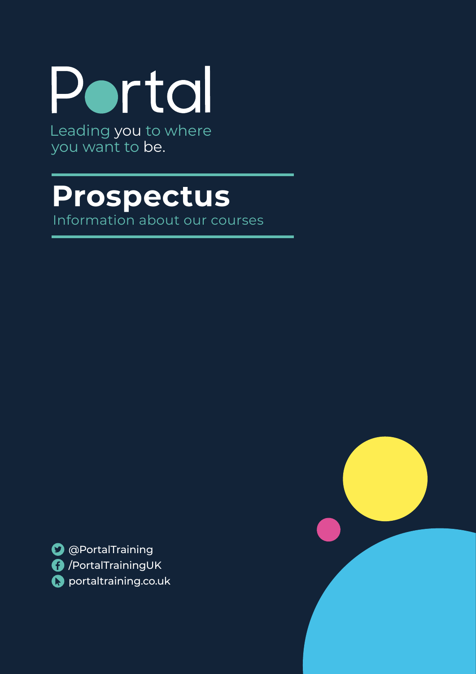

you want to be.

# **Prospectus**

Information about our courses

**O** @PortalTraining /PortalTrainingUK **C** portaltraining.co.uk

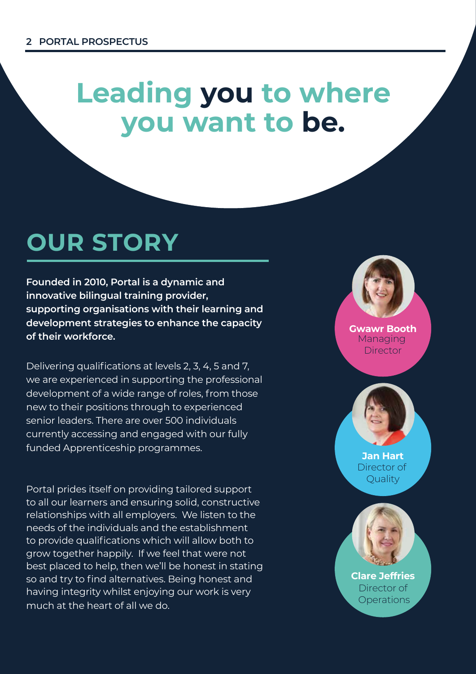# **Leading you to where Leading you to where you want to be. you want to be.**

# **OUR STORY OUR STORY**

**Founded in 2010, Portal is a dynamic and Founded in 2010, Portal is a dynamic and innovative bilingual training provider, innovative bilingual training provider, supporting organisations with their learning and supporting organisations with their learning and development strategies to enhance the capacity development strategies to enhance the capacity of their workforce. of their workforce.**

Delivering qualifications at levels 2, 3, 4, 5 and 7, Delivering qualifications at levels 2, 3, 4, 5 and 7, we are experienced in supporting the professional we are experienced in supporting the professional development of a wide range of roles, from those development of a wide range of roles, from those new to their positions through to experienced new to their positions through to experienced senior leaders. There are over 500 individuals senior leaders. There are over 500 individuals currently accessing and engaged with our fully currently accessing and engaged with our fully funded Apprenticeship programmes. funded Apprenticeship programmes.

Portal prides itself on providing tailored support Portal prides itself on providing tailored support to all our learners and ensuring solid, constructive to all our learners and ensuring solid, constructive relationships with all employers. We listen to the relationships with all employers. We listen to the needs of the individuals and the establishment needs of the individuals and the establishment to provide qualifications which will allow both to to provide qualifications which will allow both to grow together happily. If we feel that were not grow together happily. If we feel that were not best placed to help, then we'll be honest in stating best placed to help, then we'll be honest in stating so and try to find alternatives. Being honest and so and try to find alternatives. Being honest and having integrity whilst enjoying our work is very having integrity whilst enjoying our work is very much at the heart of all we do. much at the heart of all we do.

**Gwawr Booth Gwawr Booth** Managing Director

**Director** 

**Jan Hart Jan Hart** Director of Quality Quality

**Clare Jeffries Clare Jeffries** Director of **Allen** Operations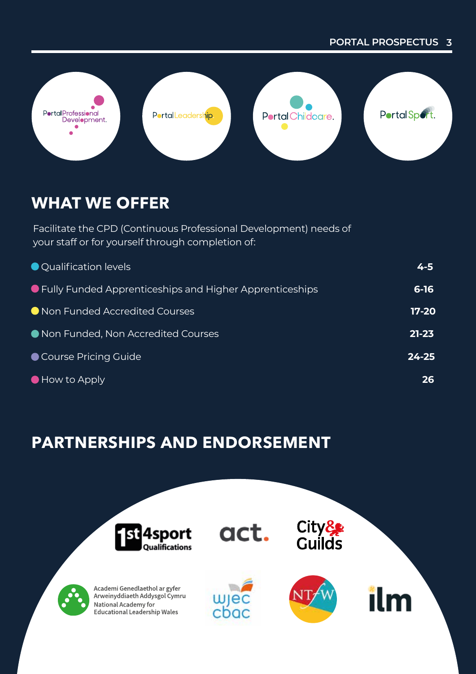#### **PORTAL PROSPECTUS 3 PORTAL PROSPECTUS 3**



# **WHAT WE OFFER WHAT WE OFFER**

Facilitate the CPD (Continuous Professional Development) needs of Facilitate the CPD (Continuous Professional Development) needs of your staff or for yourself through completion of: your staff or for yourself through completion of:

| ● Qualification levels                                    | 4-5       |
|-----------------------------------------------------------|-----------|
| ● Fully Funded Apprenticeships and Higher Apprenticeships | $6 - 16$  |
| ● Non Funded Accredited Courses                           | 17-20     |
| Non Funded, Non Accredited Courses                        | $21 - 23$ |
| Course Pricing Guide                                      | $24 - 25$ |
| $\bullet$ How to Apply                                    | 26        |

# **PARTNERSHIPS AND ENDORSEMENT PARTNERSHIPS AND ENDORSEMENT**

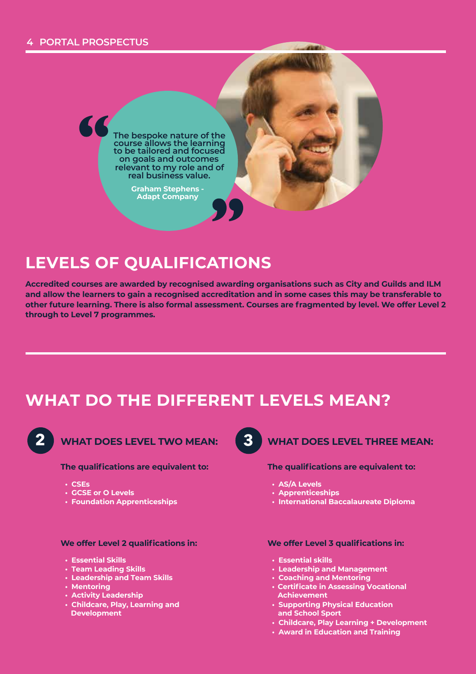#### **4 PORTAL PROSPECTUS 4 PORTAL PROSPECTUS**



**Graham Stephens - Graham Stephens - Adapt Company Adapt Company**

## **LEVELS OF QUALIFICATIONS LEVELS OF QUALIFICATIONS**

Accredited courses are awarded by recognised awarding organisations such as City and Guilds and ILM and allow the learners to gain a recognised accreditation and in some cases this may be transferable to other future learning. There is also formal assessment. Courses are fragmented by level. We offer Level 2 and **through to Level 7 programmes. through to Level 7 programmes.** 

# **WHAT DO THE DIFFERENT LEVELS MEAN? WHAT DO THE DIFFERENT LEVELS MEAN?**



**WHAT DOES LEVEL TWO MEAN:**  $\begin{pmatrix} 3 \\ 4 \end{pmatrix}$  **WHAT DOES LEVEL TWO MEAN:** 

#### **The qualifications are equivalent to: The qualifications are equivalent to:**

- **CSEs**
- **GCSE or O Levels • GCSE** *CCC***SE OR O Levels**
- **Foundation Apprenticeships Foundation Apprenticeships**

#### **We offer Level 2 qualifications in: We offer Level 2 qualifications in:**

- **Essential Skills Essential Skills**
- **Team Leading Skills Team Leading Skills**
- **Leadership and Team Skills Leadership and Team Skills**
- **Mentoring Mentoring**
- **Activity Leadership Activity Leadership**
- **Childcare, Play, Learning and Childcare, Play, Learning and Development Development**



#### **WHAT DOES LEVEL THREE MEAN: WHAT DOES LEVEL THREE MEAN:**

#### **The qualifications are equivalent to: The qualifications are equivalent to:**

- **AS/A Levels AS/A Levels**
- **Apprenticeships Apprenticeships**
- **International Baccalaureate Diploma International Baccalaureate Diploma**

#### **We offer Level 3 qualifications in: We offer Level 3 qualifications in:**

- **Essential skills Essential skills**
- **Leadership and Management Leadership and Management**
- **Coaching and Mentoring Coaching and Mentoring**
- **Certificate in Assessing Vocational Certificate in Assessing Vocational Achievement Achievement**
- **Supporting Physical Education Supporting Physical Education and School Sport and School Sport**
- **Childcare, Play Learning + Development Childcare, Play Learning + Development**
- **Award in Education and Training**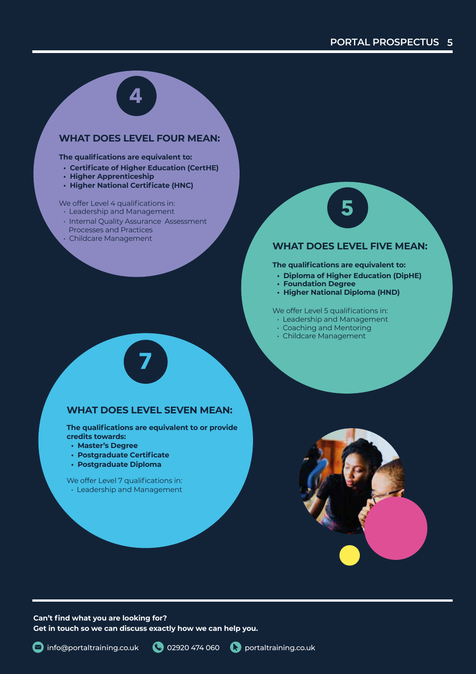

#### **WHAT DOES LEVEL FOUR MEAN: WHAT DOES LEVEL FOUR MEAN:**

#### **The qualifications are equivalent to: The qualifications are equivalent to:**

- **Certificate of Higher Education (CertHE) Certificate of Higher Education (CertHE)**
- **Higher Apprenticeship Higher Apprenticeship**
- **Higher National Certificate (HNC) Higher National Certificate (HNC)**

#### **Example 3 We offer Level 4 qualifications in:**

- Leadership and Management Leadership and Management
- **Internal Quality Assurance Assessment**
- **Processes and Practices** • Childcare Management

# **5**

#### **WHAT DOES LEVEL FIVE MEAN: WHAT DOES LEVEL FIVE MEAN:**

**The qualifications are equivalent to: The qualifications are equivalent to:**

- **Diploma of Higher Education (DipHE) Diploma of Higher Education (DipHE)**
- **Foundation Degree Foundation Degree**
- **Higher National Diploma (HND) Higher National Diploma (HND)**

**Example 3 We offer Level 5 qualifications in:** 

- Leadership and Management Leadership and Management
- Coaching and Mentoring Coaching and Mentoring
	- Childcare Management



**7**

**The qualifications are equivalent to or provide The qualifications are equivalent to or provide credits towards: credits towards:**

- **Master's Degree Master's Degree**
- **Postgraduate Certificate Postgraduate Certificate**
- **Postgraduate Diploma Postgraduate Diploma**

**Example: 2 No. 2 No. 2 Yeleoffer Level 7 qualifications in:** • Leadership and Management • Leadership and Management



**Can't find what you are looking for? Can't find what you are looking for? Get in touch so we can discuss exactly how we can help you. Get in touch so we can discuss exactly how we can help you.**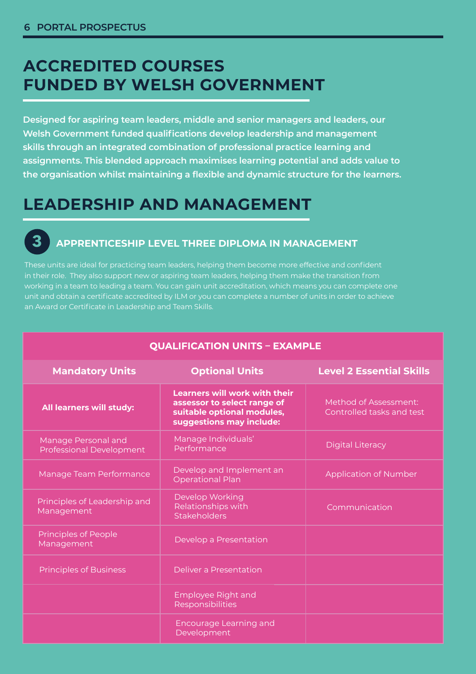**3**

# **ACCREDITED COURSES ACCREDITED COURSES FUNDED BY WELSH GOVERNMENT FUNDED BY WELSH GOVERNMENT**

**Designed for aspiring team leaders, middle and senior managers and leaders, our Designed for aspiring team leaders, middle and senior managers and leaders, our Welsh Government funded qualifications develop leadership and management Welsh Government funded qualifications develop leadership and management skills through an integrated combination of professional practice learning and skillsthrough an integrated combination of professional practice learning and assignments. This blended approach maximises learning potential and adds value to assignments. This blended approach maximises learning potential and adds value to**  the organisation whilst maintaining a flexible and dynamic structure for the learners. The struck o

# **LEADERSHIP AND MANAGEMENT LEADERSHIP AND MANAGEMENT**

### **APPRENTICESHIP LEVEL THREE DIPLOMA IN MANAGEMENT APPRENTICESHIP LEVEL THREE DIPLOMA IN MANAGEMENT 3**

These units are ideal for practicing team leaders, helping them become more effective and confident These units are ideal for practicing team leaders, helping them become more effective and confident in their role. They also support new or aspiring team leaders, helping them make the transition from in their role. They also support new or aspiring team leaders, helping them make the transition from working in a team to leading a team. You can gain unit accreditation, which means you can complete one working in a team to leading a team. You can gain unit accreditation, which means you can complete one unit and obtain a certificate accredited by ILM or you can complete a number of units in order to achieve unit and obtain acertificate accredited by ILM or you can complete a number of units in order to achieve an Award or Certificate in Leadership and Team Skills. an Award or Certificate in Leadership and Team Skills.

| <b>QUALIFICATION UNITS - EXAMPLE</b>                   |                                                                                                                               |                                                    |  |
|--------------------------------------------------------|-------------------------------------------------------------------------------------------------------------------------------|----------------------------------------------------|--|
| <b>Mandatory Units</b>                                 | <b>Optional Units</b>                                                                                                         | <b>Level 2 Essential Skills</b>                    |  |
| All learners will study:                               | <b>Learners will work with their</b><br>assessor to select range of<br>suitable optional modules,<br>suggestions may include: | Method of Assessment:<br>Controlled tasks and test |  |
| Manage Personal and<br><b>Professional Development</b> | Manage Individuals'<br>Performance                                                                                            | <b>Digital Literacy</b>                            |  |
| Manage Team Performance                                | Develop and Implement an<br><b>Operational Plan</b>                                                                           | <b>Application of Number</b>                       |  |
| Principles of Leadership and<br>Management             | Develop Working<br>Relationships with<br>Stakeholders                                                                         | Communication                                      |  |
| <b>Principles of People</b><br>Management              | Develop a Presentation                                                                                                        |                                                    |  |
| <b>Principles of Business</b>                          | Deliver a Presentation                                                                                                        |                                                    |  |
|                                                        | Employee Right and<br>Responsibilities                                                                                        |                                                    |  |
|                                                        | <b>Encourage Learning and</b><br>Development                                                                                  |                                                    |  |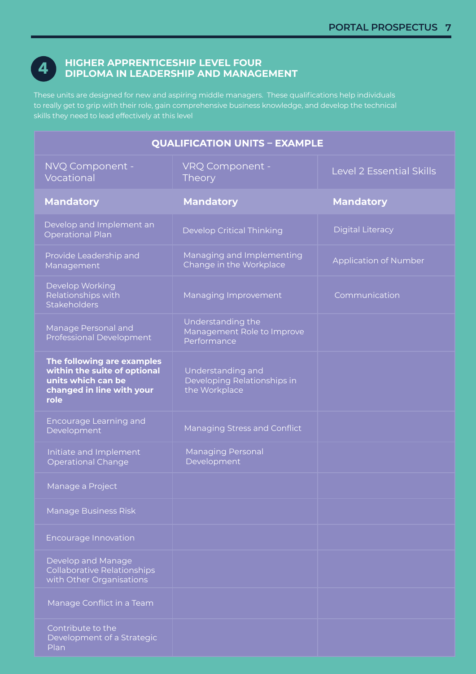# **4**

#### **HIGHER APPRENTICESHIP LEVEL FOUR HIGHER APPRENTICESHIP LEVEL FOUR DIPLOMA IN LEADERSHIP AND MANAGEMENT DIPLOMA IN LEADERSHIP AND MANAGEMENT**

These units are designed for new and aspiring middle managers. These qualifications help individuals These units are designed for new and aspiring middle managers. These qualifications help individuals to really get to grip with their role, gain comprehensive business knowledge, and develop the technical to really get to grip with their role, gain comprehensive business knowledge, and develop the technical skills they need to lead effectively at this level skills they need to lead effectively at this level

| <b>QUALIFICATION UNITS - EXAMPLE</b>                                                                                  |                                                                   |                              |
|-----------------------------------------------------------------------------------------------------------------------|-------------------------------------------------------------------|------------------------------|
| NVQ Component -<br>Vocational                                                                                         | VRQ Component -<br>Theory                                         | Level 2 Essential Skills     |
| <b>Mandatory</b>                                                                                                      | <b>Mandatory</b>                                                  | <b>Mandatory</b>             |
| Develop and Implement an<br><b>Operational Plan</b>                                                                   | <b>Develop Critical Thinking</b>                                  | <b>Digital Literacy</b>      |
| Provide Leadership and<br>Management                                                                                  | Managing and Implementing<br>Change in the Workplace              | <b>Application of Number</b> |
| Develop Working<br>Relationships with<br>Stakeholders                                                                 | Managing Improvement                                              | Communication                |
| Manage Personal and<br>Professional Development                                                                       | Understanding the<br>Management Role to Improve<br>Performance    |                              |
| The following are examples<br>within the suite of optional<br>units which can be<br>changed in line with your<br>role | Understanding and<br>Developing Relationships in<br>the Workplace |                              |
| Encourage Learning and<br>Development                                                                                 | Managing Stress and Conflict                                      |                              |
| Initiate and Implement<br><b>Operational Change</b>                                                                   | <b>Managing Personal</b><br>Development                           |                              |
| Manage a Project                                                                                                      |                                                                   |                              |
| Manage Business Risk                                                                                                  |                                                                   |                              |
| <b>Encourage Innovation</b>                                                                                           |                                                                   |                              |
| Develop and Manage<br><b>Collaborative Relationships</b><br>with Other Organisations                                  |                                                                   |                              |
| Manage Conflict in a Team                                                                                             |                                                                   |                              |
| Contribute to the<br>Development of a Strategic<br>Plan                                                               |                                                                   |                              |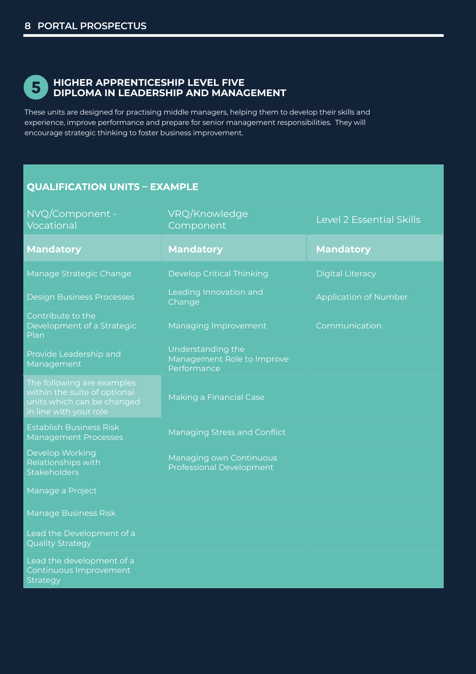

#### **HIGHER APPRENTICESHIP LEVEL FIVE HIGHER APPRENTICESHIP LEVEL FIVE DIPLOMA IN LEADERSHIP AND MANAGEMENT DIPLOMA IN LEADERSHIP AND MANAGEMENT 5**

These units are designed for practising middle managers, helping them to develop their skills and These units are designed for practising middle managers, helping them to develop their skills and experience, improve performance and prepare for senior management responsibilities. They will experience, improve performance and prepare for senior management responsibilities. They will encourage strategic thinking to foster business improvement. encourage strategic thinking to foster business improvement.

#### **QUALIFICATION UNITS - EXAMPLE**

| NVQ/Component -<br>Vocational                                                                                      | VRQ/Knowledge<br>Component                                     | <b>Level 2 Essential Skills</b> |
|--------------------------------------------------------------------------------------------------------------------|----------------------------------------------------------------|---------------------------------|
| <b>Mandatory</b>                                                                                                   | <b>Mandatory</b>                                               | <b>Mandatory</b>                |
| Manage Strategic Change                                                                                            | <b>Develop Critical Thinking</b>                               | <b>Digital Literacy</b>         |
| <b>Design Business Processes</b>                                                                                   | Leading Innovation and<br>Change                               | <b>Application of Number</b>    |
| Contribute to the<br>Development of a Strategic<br>Plan                                                            | Managing Improvement                                           | Communication                   |
| Provide Leadership and<br>Management                                                                               | Understanding the<br>Management Role to Improve<br>Performance |                                 |
| The following are examples<br>within the suite of optional<br>units which can be changed<br>in line with your role | <b>Making a Financial Case</b>                                 |                                 |
| <b>Establish Business Risk</b><br><b>Management Processes</b>                                                      | Managing Stress and Conflict                                   |                                 |
| <b>Develop Working</b><br>Relationships with<br>Stakeholders                                                       | Managing own Continuous<br><b>Professional Development</b>     |                                 |
| Manage a Project                                                                                                   |                                                                |                                 |
| <b>Manage Business Risk</b>                                                                                        |                                                                |                                 |
| Lead the Development of a<br><b>Quality Strategy</b>                                                               |                                                                |                                 |
| Lead the development of a<br>Continuous Improvement<br>Strategy                                                    |                                                                |                                 |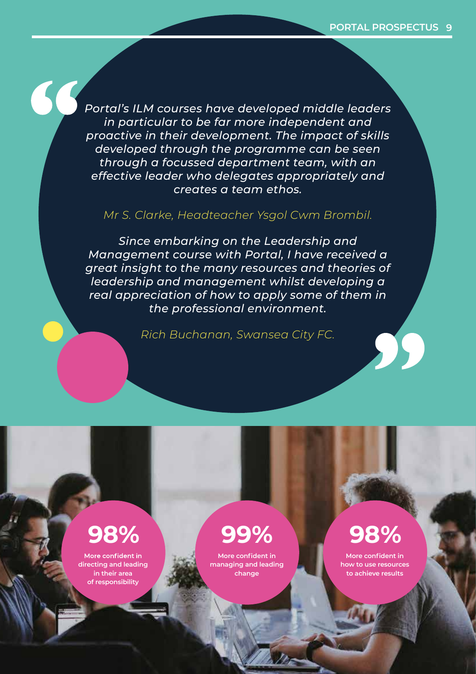*Portal's ILM courses have developed middle leaders Portal's ILM courses have developed middle leaders in particular to be far more independent and in particular to be far more independent and proactive in their development. The impact of skills proactive in their development. The impact of skills developed through the programme can be seen developed through the programme can be seen through a focussed department team, with an through a focussed department team, with an effective leader who delegates appropriately and effective leader who delegates appropriately and creates a team ethos. creates a team ethos.*

### *Mr S. Clarke, Headteacher Ysgol Cwm Brombil. Mr S. Clarke, Headteacher Ysgol Cwm Brombil.*

*Since embarking on the Leadership and Since embarking on the Leadership and Management course with Portal, I have received a Management course with Portal, I have received a great insight to the many resources and theories of great insight to the many resources and theories of leadership and management whilst developing a leadership and management whilst developing a real appreciation of how to apply some of them in real appreciation of how to apply some of them in the professional environment. the professional environment.*

*Rich Buchanan, Swansea City FC. Rich Buchanan, Swansea City FC.*

### **98% 99% 98% 98% 99% 98%**

More confident in **directing and leading directing and leading in their area in their area of responsibility of responsibility**

**More confident in More confident in managing and leading managing and leading change change**

**More confident in More confident in how to use resources how to use resources to achieve results to achieve results**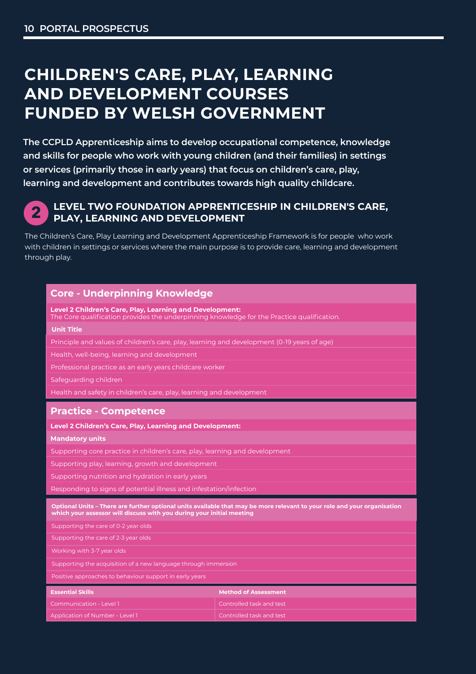# **CHILDREN'S CARE, PLAY, LEARNING AND DEVELOPMENT COURSES FUNDED BY WELSH GOVERNMENT**

**The CCPLD Apprenticeship aims to develop occupational competence, knowledge and skills for people who work with young children (and their families) in settings or services (primarily those in early years) that focus on children's care, play, learning and development and contributes towards high quality childcare.**



#### **LEVEL TWO FOUNDATION APPRENTICESHIP IN CHILDREN'S CARE, PLAY, LEARNING AND DEVELOPMENT**

The Children's Care, Play Learning and Development Apprenticeship Framework is for people who work with children in settings or services where the main purpose is to provide care, learning and development through play.

| <b>Core - Underpinning Knowledge</b>                                                                                                                                                              |                             |  |  |
|---------------------------------------------------------------------------------------------------------------------------------------------------------------------------------------------------|-----------------------------|--|--|
| Level 2 Children's Care, Play, Learning and Development:<br>The Core qualification provides the underpinning knowledge for the Practice qualification.                                            |                             |  |  |
| <b>Unit Title</b>                                                                                                                                                                                 |                             |  |  |
| Principle and values of children's care, play, learning and development (0-19 years of age)                                                                                                       |                             |  |  |
| Health, well-being, learning and development                                                                                                                                                      |                             |  |  |
| Professional practice as an early years childcare worker                                                                                                                                          |                             |  |  |
| Safequarding children                                                                                                                                                                             |                             |  |  |
| Health and safety in children's care, play, learning and development                                                                                                                              |                             |  |  |
| <b>Practice - Competence</b>                                                                                                                                                                      |                             |  |  |
| Level 2 Children's Care, Play, Learning and Development:                                                                                                                                          |                             |  |  |
| <b>Mandatory units</b>                                                                                                                                                                            |                             |  |  |
| Supporting core practice in children's care, play, learning and development                                                                                                                       |                             |  |  |
| Supporting play, learning, growth and development                                                                                                                                                 |                             |  |  |
| Supporting nutrition and hydration in early years                                                                                                                                                 |                             |  |  |
| Responding to signs of potential illness and infestation/infection                                                                                                                                |                             |  |  |
| Optional Units – There are further optional units available that may be more relevant to your role and your organisation<br>which your assessor will discuss with you during your initial meeting |                             |  |  |
| Supporting the care of 0-2 year olds                                                                                                                                                              |                             |  |  |
| Supporting the care of 2-3 year olds                                                                                                                                                              |                             |  |  |
| Working with 3-7 year olds                                                                                                                                                                        |                             |  |  |
| Supporting the acquisition of a new language through immersion                                                                                                                                    |                             |  |  |
| Positive approaches to behaviour support in early years                                                                                                                                           |                             |  |  |
| <b>Essential Skills</b>                                                                                                                                                                           | <b>Method of Assessment</b> |  |  |
| Communication - Level 1                                                                                                                                                                           | Controlled task and test    |  |  |
| Application of Number - Level 1                                                                                                                                                                   | Controlled task and test    |  |  |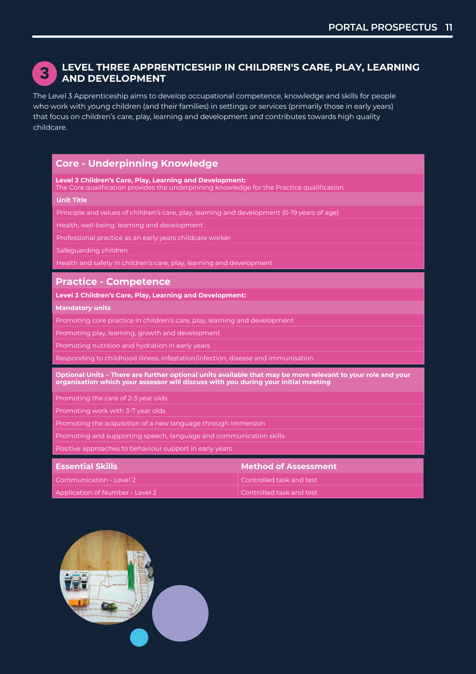

#### **LEVEL THREE APPRENTICESHIP IN CHILDREN'S CARE, PLAY, LEARNING CHILDREN'S CARE, PLAY, LEARNING AND DEVELOPMENT**

——<br>The Level 3 Apprenticeship aims to develop occupational competence, knowledge and skills for people who work with young children (and their families) in settings or services (primarily those in early years) who work with young children (and their families) in settings or services (primarily those in early ye:<br>that focus on children's care, play, learning and development and contributes towards high quality childcare.

#### **Core - Underpinning Knowledge or services (primarily those in early years) that focus on children's care, play, and skills for people who work with young children (and their families) in settings**

**Level 2 Children's Care, Play, Learning and Development:** 

**Level 2 Children's Care, Play, Learning and Development:**<br>The Core qualification provides the underpinning knowledge for the Practice qualification.

#### **Unit Title**

Principle and values of children's care, play, learning and development (0-19 years of age)

Health, well-being, learning and development

Professional practice as an early years childcare worker and Development Apprenticeship Framework is for people

Safeguarding children with children in settings or settings or services where the main purpose is to provide care, learning and development

Health and safety in children's care, play, learning and development

#### **Practice - Competence**

Level 3 Children's Care, Play, Learning and Development:

**Mandatory units** 

Promoting core practice in children's care, play, learning and development **computation in the Practice for the** 

**Promoting play, learning, growth and development** 

on Promoting nutrition and hydration in early years and Children's Care, Play, Learning and Development (1991)<br>Promoting nutrition and hydration in early years of age (1991), Learning (0-19 years of age) and Development (

Responding to childhood illness, infestation/infection, disease and immunisation

003 Professional Practice as an Early Years Childcare Worker

**Optional Units – There are further optional units available that may be more relevant to your role and your**  optional offics – filete are further optional units available that may be more releva<br>organisation which your assessor will discuss with you during your initial meeting

Promoting the care of 2-3 year olds

Promoting work with 3-7 year olds

Promoting the acquisition of a new language through immersion **Learning** 

Promoting and supporting speech, language and communication skills **Mandatory units**

Positive approaches to behaviour support in early years and development and development of the core practice i

| Controlled task and test<br>Controlled task and test | <b>Essential Skills</b>         | <b>Method of Assessment</b> |
|------------------------------------------------------|---------------------------------|-----------------------------|
|                                                      | Communication - Level 2         |                             |
|                                                      | Application of Number - Level 2 |                             |

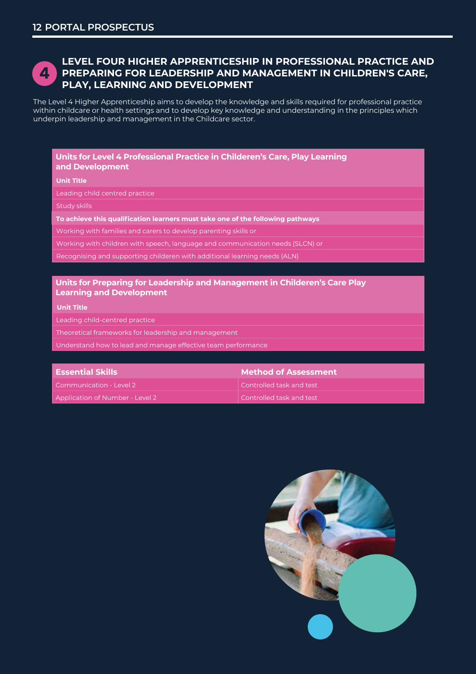

#### **LEVEL FOUR HIGHER APPRENTICESHIP IN PROFESSIONAL PRACTICE AND PREPARING FOR LEADERSHIP AND MANAGEMENT IN CHILDREN'S CARE, CHILDREN'S CARE, PLAY, LEARNING PLAY, LEARNING AND DEVELOPMENT**

The Level 4 Higher Apprenticeship aims to develop the knowledge and skills required for professional practice **AND DEVELOPMENT COURSES** within childcare or health settings and to develop key knowledge and understanding in the principles which<br>underpin leadership and management in the Childcare sector underpin leadership and management in the Childcare sector.

#### **Inits for Level 4 Professional Practice in Childeren's Care, Play Learning and State With State With and Development or services (primarily those in early years) that focus on children's care, play,**

**Unit Title learning and development and contributes towards high quality childcare.**

Leading child centred practice

Study skills

วเนαy รหแเร<br>**To achieve this qualification learners must take one of the following pathways** 

Working with families and carers to develop parenting skills or  $\frac{1}{2}$ 

Working with children with speech, language and communication needs (SLCN) or setting where the main purpose is to provide care the main purpose is to provide care the main purpose is to provide care the main purpose is to

Recognising and supporting childeren with additional learning needs (ALN)

002 Health, Well-Being, Learning and Development

#### **Units for Preparing for Leadership and Management in Childeren's Care Play Learning and Development**

**Unit Title**

Leading child-centred practice and core qualification provides the underpinning knowledge for the Practice qua<br>The underpinning knowledge for the Practice qualification. The Practice qualification of the Practice qualific

Theoretical frameworks for leadership and management **Unit Unit Title**

Understand how to lead and manage effective team performance 001 Principle and Values of Children's Care, Play, Learning and Development (0-19 years of age)

| <b>Essential Skills</b>         | <b>Method of Assessment</b> |
|---------------------------------|-----------------------------|
| Communication - Level 2         | Controlled task and test    |
| Application of Number - Level 2 | Controlled task and test    |

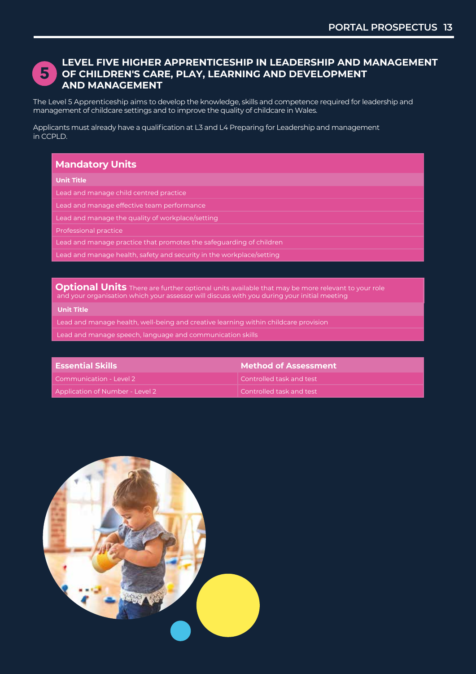

#### **LEVEL FIVE HIGHER APPRENTICESHIP IN LEADERSHIP AND MANAGEMENT OF CHILDREN'S CARE, PLAY, LEARNING AND DEVELOPMENT AND MANAGEMENT**

The Level 5 Apprenticeship aims to develop the knowledge, skills and competence required for leadership and management of childcare settings and to improve the quality of childcare in Wales.

Applicants must already have a qualification at L3 and L4 Preparing for Leadership and management in CCPLD.

#### **Mandatory Units**

#### **Unit Title**

Lead and manage child centred practice

Lead and manage effective team performance

Lead and manage the quality of workplace/setting

Professional practice

Lead and manage practice that promotes the safeguarding of children

Lead and manage health, safety and security in the workplace/setting

**Optional Units** There are further optional units available that may be more relevant to your role and your organisation which your assessor will discuss with you during your initial meeting

#### **Unit Title**

Lead and manage health, well-being and creative learning within childcare provision

Lead and manage speech, language and communication skills

| <b>Essential Skills</b>         | Method of Assessment .   |
|---------------------------------|--------------------------|
| Communication - Level 2         | Controlled task and test |
| Application of Number - Level 2 | Controlled task and test |

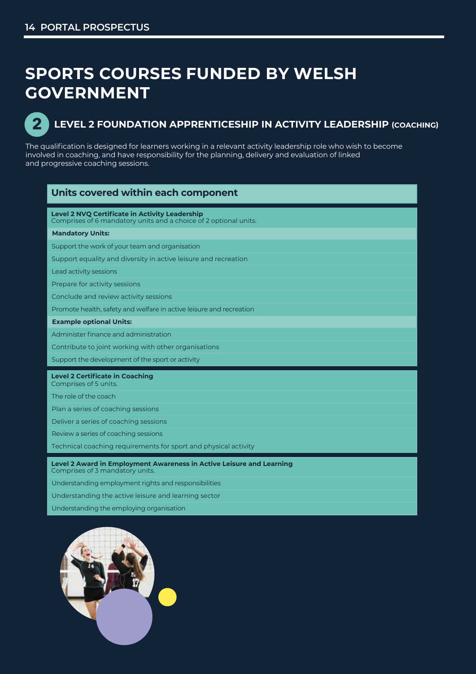# **SPORTS COURSES FUNDED BY WELSH SPORTS COURSES FUNDED BY WELSH GOVERNMENT GOVERNMENT**



### **LEVEL 2 FOUNDATION APPRENTICESHIP IN ACTIVITY LEADERSHIP (COACHING) LEVEL 2 FOUNDATION APPRENTICESHIP IN ACTIVITY LEADERSHIP (COACHING) 2**

The qualification is designed for learners working in a relevant activity leadership role who wish to become The qualification is designed for learners working in a relevant activity leadership role who wish to become involved in coaching, and have responsibility for the planning, delivery and evaluation of linked involved in coaching, and have responsibility for the planning, delivery and evaluation of linked and progressive coaching sessions. and progressive coaching sessions.

| Units covered within each component                                                                                       |
|---------------------------------------------------------------------------------------------------------------------------|
| <b>Level 2 NVQ Certificate in Activity Leadership</b><br>Comprises of 6 mandatory units and a choice of 2 optional units. |
| <b>Mandatory Units:</b>                                                                                                   |
| Support the work of your team and organisation                                                                            |
| Support equality and diversity in active leisure and recreation                                                           |
| Lead activity sessions                                                                                                    |
| Prepare for activity sessions                                                                                             |
| Conclude and review activity sessions                                                                                     |
| Promote health, safety and welfare in active leisure and recreation                                                       |
| <b>Example optional Units:</b>                                                                                            |
| Administer finance and administration                                                                                     |
| Contribute to joint working with other organisations                                                                      |
| Support the development of the sport or activity                                                                          |
| <b>Level 2 Certificate in Coaching</b><br>Comprises of 5 units.                                                           |
| The role of the coach                                                                                                     |
| Plan a series of coaching sessions                                                                                        |
| Deliver a series of coaching sessions                                                                                     |
| Review a series of coaching sessions                                                                                      |
| Technical coaching requirements for sport and physical activity                                                           |
| <b>Level 2 Award in Employment Awareness in Active Leisure and Learning</b><br>Comprises of 3 mandatory units.            |
| Understanding employment rights and responsibilities                                                                      |
| Understanding the active leisure and learning sector                                                                      |

Understanding the employing organisation

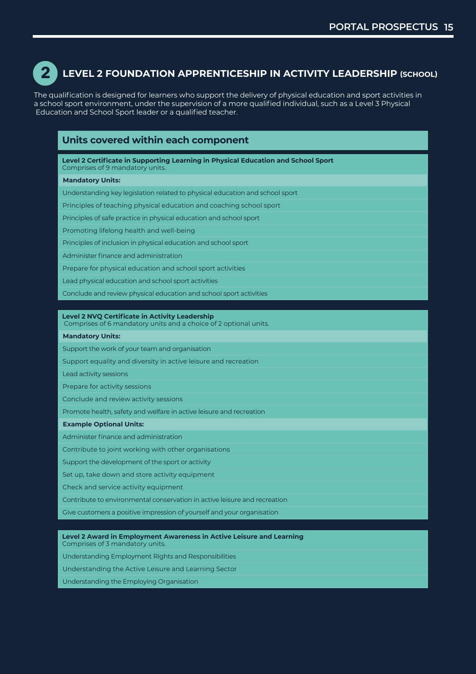

#### **LEVEL 2 FOUNDATION APPRENTICESHIP IN ACTIVITY LEADERSHIP (SCHOOL)**

The qualification is designed for learners who support the delivery of physical education and sport activities in a school sport environment, under the supervision of a more qualified individual, such as a Level 3 Physical a school sport environment, under the supervision of a more qualified individual, such as a Level 3 Physical Education and School Sport leader or a qualified teacher. Education and School Sport leader or a qualified teacher.

| Units covered within each component                                                                                  |  |
|----------------------------------------------------------------------------------------------------------------------|--|
| Level 2 Certificate in Supporting Learning in Physical Education and School Sport<br>Comprises of 9 mandatory units. |  |
| <b>Mandatory Units:</b>                                                                                              |  |
| Understanding key legislation related to physical education and school sport                                         |  |
| Principles of teaching physical education and coaching school sport                                                  |  |
| Principles of safe practice in physical education and school sport                                                   |  |
| Promoting lifelong health and well-being                                                                             |  |
| Principles of inclusion in physical education and school sport                                                       |  |
| Administer finance and administration                                                                                |  |
| Prepare for physical education and school sport activities                                                           |  |
| Lead physical education and school sport activities                                                                  |  |
| Conclude and review physical education and school sport activities                                                   |  |
|                                                                                                                      |  |
| Level 2 NVQ Certificate in Activity Leadership<br>Comprises of 6 mandatory units and a choice of 2 optional units.   |  |
| <b>Mandatory Units:</b>                                                                                              |  |
| Support the work of your team and organisation                                                                       |  |
| Support equality and diversity in active leisure and recreation                                                      |  |
| Lead activity sessions                                                                                               |  |
| Prepare for activity sessions                                                                                        |  |
| Conclude and review activity sessions                                                                                |  |
| Promote health, safety and welfare in active leisure and recreation                                                  |  |
| <b>Example Optional Units:</b>                                                                                       |  |
| Administer finance and administration                                                                                |  |
| Contribute to joint working with other organisations                                                                 |  |
| Support the development of the sport or activity                                                                     |  |
| Set up, take down and store activity equipment                                                                       |  |
| Check and service activity equipment                                                                                 |  |
| Contribute to environmental conservation in active leisure and recreation                                            |  |
| Give customers a positive impression of yourself and your organisation                                               |  |

**Level 2 Award in Employment Awareness in Active Leisure and Learning Level 2 Award in Employment Awareness in Active Leisure and Learning** Comprises of 3 mandatory units. Comprises of 3 mandatory units.

Understanding Employment Rights and Responsibilities Understanding Employment Rights and Responsibilities

Understanding the Active Leisure and Learning Sector Understanding the Active Leisure and Learning Sector

Understanding the Employing Organisation Understanding the Employing Organisation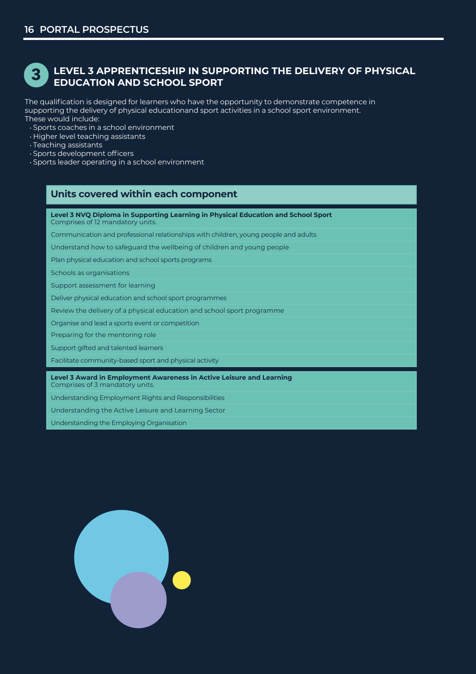#### **LEVEL 3 APPRENTICESHIP IN SUPPORTING THE DELIVERY OF PHYSICAL EDUCATION AND SCHOOL SPORT 3**

The qualification is designed for learners who have the opportunity to demonstrate competence in supporting the delivery of physical educationand sport activities in a school sport environment. These would include:

• Sports coaches in a school environment

- Higher level teaching assistants
- Teaching assistants
- Sports development officers
- Sports leader operating in a school environment

#### **Units covered within each component**

**Level 3 NVQ Diploma in Supporting Learning in Physical Education and School Sport** Comprises of 12 mandatory units.

Communication and professional relationships with children, young people and adults

Understand how to safeguard the wellbeing of children and young people

Plan physical education and school sports programs

Schools as organisations

Support assessment for learning

Deliver physical education and school sport programmes

Review the delivery of a physical education and school sport programme

Organise and lead a sports event or competition

Preparing for the mentoring role

Support gifted and talented learners

Facilitate community-based sport and physical activity

**Level 3 Award in Employment Awareness in Active Leisure and Learning**

Comprises of 3 mandatory units.

Understanding Employment Rights and Responsibilities

Understanding the Active Leisure and Learning Sector

Understanding the Employing Organisation

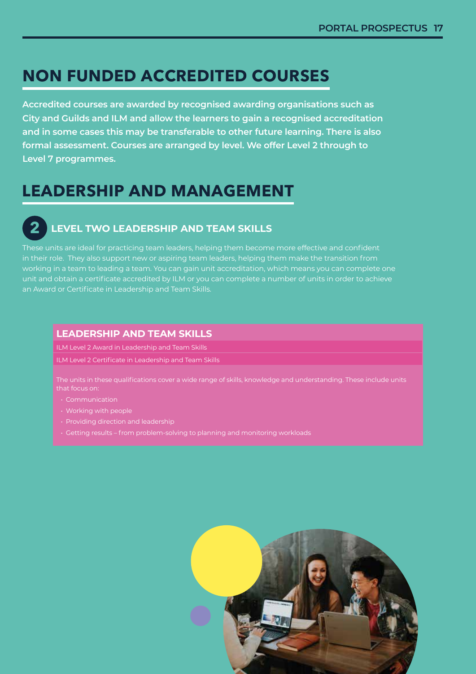# **NON FUNDED ACCREDITED COURSES NON FUNDED ACCREDITED COURSES**

Accredited courses are awarded by recognised awarding organisations such as **comparent and t** City and Guilds and ILM and allow the learners to gain a recognised accreditation and in some cases this may be transferable to other future learning. There is also formal assessment. Courses are arranged by level. We offer Level 2 through to **compart of the constant Level 7 programmes. Level 7 programmes.** 

# **LEADERSHIP AND MANAGEMENT LEADERSHIP AND MANAGEMENT**

#### **LEVEL TWO LEADERSHIP AND TEAM SKILLS LEVEL TWO LEADERSHIP AND TEAM SKILLS 2 2**

These units are ideal for practicing team leaders, helping them become more effective and confident These units are ideal for practicing team leaders, helping them become more effective and confident in their role. They also support new or aspiring team leaders, helping them make the transition from in their role. They also support new or aspiring team leaders, helping them make the transition from working in a team to leading a team. You can gain unit accreditation, which means you can complete one working in a team to leading a team. You can gain unit accreditation, which means you can complete one unit and obtain a certificate accredited by ILM or you can complete a number of units in order to achieve unit and obtain a certificate accredited by ILM or you can complete a number of units in order to achieve an Award or Certificate in Leadership and Team Skills. an Award or Certificate in Leadership and Team Skills.

#### **LEADERSHIP AND TEAM SKILLS LEADERSHIP AND TEAM SKILLS**

ILM Level 2 Award in Leadership and Team Skills ILM Level 2 Award in Leadership and Team Skills

ILM Level 2 Certificate in Leadership and Team Skills ILM Level 2 Certificate in Leadership and Team Skills

The units in these qualifications cover a wide range of skills, knowledge and understanding. These include units that focus on:

- 
- Working with people Working with people
- Providing direction and leadership Providing direction and leadership
- 

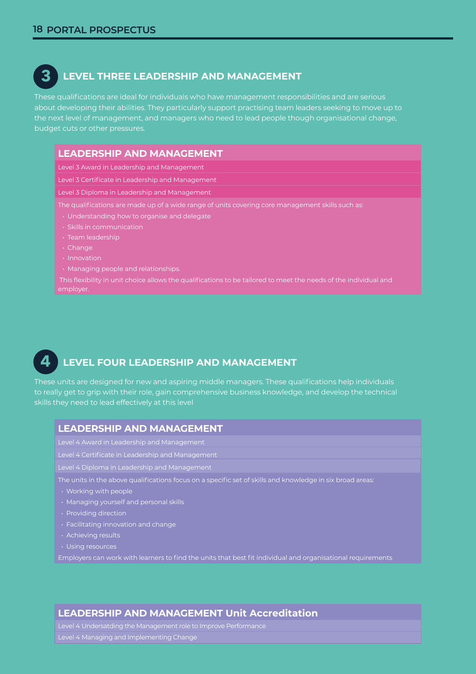**3**

#### **LEVEL THREE LEADERSHIP AND MANAGEMENT LEVEL THREE LEADERSHIP AND MANAGEMENT**

These qualifications are ideal for individuals who have management responsibilities and are serious These qualifications are ideal for individuals who have management responsibilities and are serious about developing their abilities. They particularly support practising team leaders seeking to move up to about developing their abilities. They particularly support practising team leaders seeking to move up to the next level of management, and managers who need to lead people though organisational change, the next level of management, and managers who need to lead people though organisational change, budget cuts or other pressures. budget cuts or other pressures.

#### **LEADERSHIP AND MANAGEMENT LEADERSHIP AND MANAGEMENT**

Level 3 Award in Leadership and Management Level 3 Award in Leadership and Management

Level 3 Certificate in Leadership and Management Level 3 Certificate in Leadership and Management

Level 3 Diploma in Leadership and Management Level 3 Diploma in Leadership and Management

The qualifications are made up of a wide range of units covering core management skills such as: The qualifications are made up of a wide range of units covering core management skills such as:

- Understanding how to organise and delegate Understanding how to organise and delegate
	-
	-
	- Change

**4**

- 
- **Managing people and relationships.**

employer.

#### **LEVEL FOUR LEADERSHIP AND MANAGEMENT LEVEL FOUR LEADERSHIP AND MANAGEMENT**

These units are designed for new and aspiring middle managers. These qualifications help individuals These units are designed for new and aspiring middle managers. These qualifications help individuals to really get to grip with their role, gain comprehensive business knowledge, and develop the technical to really get to grip with their role, gain comprehensive business knowledge, and develop the technical skills they need to lead effectively at this level skills they need to lead effectively at this level

#### **LEADERSHIP AND MANAGEMENT LEADERSHIP AND MANAGEMENT**

Level 4 Award in Leadership and Management Level 4 Award in Leadership and Management

Level 4 Certificate in Leadership and Management Level 4 Certificate in Leadership and Management

Level 4 Diploma in Leadership and Management Level 4 Diploma in Leadership and Management

The units in the above qualifications focus on a specific set of skills and knowledge in six broad areas: The units in the above qualifications focus on a specific set of skills and knowledge in six broad areas:

- Working with people Working with people
- Managing yourself and personal skills Managing yourself and personal skills
- Providing direction Providing direction
- Facilitating innovation and change Facilitating innovation and change
- Achieving results Achieving results
- Using resources Using resources

Employers can work with learners to find the units that best fit individual and organisational requirements Employers can work with learners to find the units that best fit individual and organisational requirements

#### **LEADERSHIP AND MANAGEMENT Unit Accreditation LEADERSHIP AND MANAGEMENT Unit Accreditation**

Level 4 Undersatding the Management role to Improve Performance Level 4 Undersatding the Management role to Improve Performance Level 4 Managing and Implementing Change Level 4 Managing and Implementing Change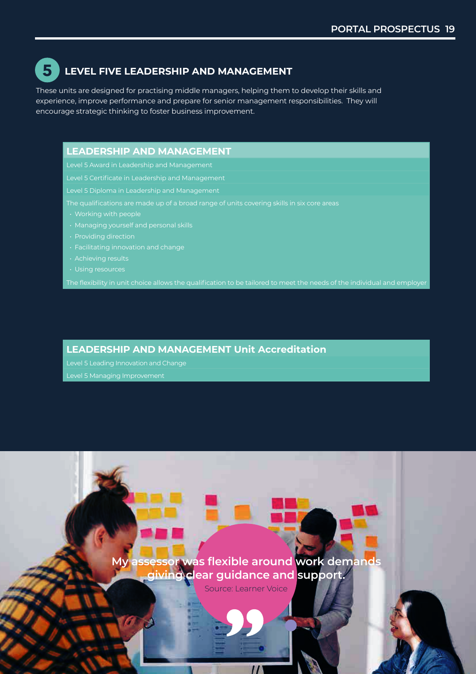#### **LEVEL FIVE LEADERSHIP AND MANAGEMENT LEVEL FIVE LEADERSHIP AND MANAGEMENT 5 5**

These units are designed for practising middle managers, helping them to develop their skills and These units are designed for practising middle managers, helping them to develop their skills and experience, improve performance and prepare for senior management responsibilities. They will experience, improve performance and prepare for senior management responsibilities. They will encourage strategic thinking to foster business improvement. encourage strategic thinking to foster business improvement.

#### **LEADERSHIP AND MANAGEMENT LEADERSHIP AND MANAGEMENT**

Level 5 Award in Leadership and Management Level 5 Award in Leadership and Management

Level 5 Certificate in Leadership and Management Level 5 Certificate in Leadership and Management

Level 5 Diploma in Leadership and Management Level 5 Diploma in Leadership and Management

The qualifications are made up of a broad range of units covering skills in six core areas The qualifications are made up of a broad range of units covering skills in six core areas

- 
- Managing yourself and personal skills Managing yourself and personal skills
- 
- 
- 
- 

The flexibility in unit choice allows the qualification to be tailored to meet the needs of the individual and employer  $\vert$ 

#### **LEADERSHIP AND MANAGEMENT Unit Accreditation LEADERSHIP AND MANAGEMENT Unit Accreditation**

Level 5 Leading Innovation and Change Level 5 Leading Innovation and Change

Level 5 Managing Improvement Level 5 Managing Improvement

**My assessor was flexible around work demands My assessor was flexible around work demands giving clear guidance and support. giving clear guidance and support.**

Source: Learner Voice Source: Learner Voice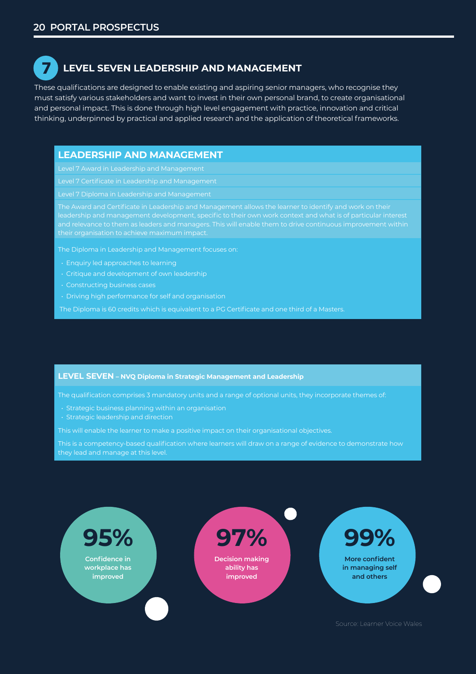**7**

### **LEVEL SEVEN LEADERSHIP AND MANAGEMENT LEVEL SEVEN LEADERSHIP AND MANAGEMENT**

These qualifications are designed to enable existing and aspiring senior managers, who recognise they These qualifications are designed to enable existing and aspiring senior managers, who recognise they must satisfy various stakeholders and want to invest in their own personal brand, to create organisational must satisfy various stakeholders and want to invest in their own personal brand, to create organisational and personal impact. This is done through high level engagement with practice, innovation and critical and personal impact. This is done through high level engagement with practice, innovation and critical thinking, underpinned by practical and applied research and the application of theoretical frameworks. thinking, underpinned by practical and applied research and the application of theoretical frameworks.

#### **LEADERSHIP AND MANAGEMENT LEADERSHIP AND MANAGEMENT**

Level 7 Award in Leadership and Management Level 7 Award in Leadership and Management

Level 7 Certificate in Leadership and Management Level 7 Certificate in Leadership and Management

Level 7 Diploma in Leadership and Management Level 7 Diploma in Leadership and Management

The Award and Certificate in Leadership and Management allows the learner to identify and work on their The Award and Certificate in Leadership and Management allows the learner to identify and work on their leadership and management development, specific to their own work context and what is of particular interest leadership and management development, specific to their own work context and what is of particular interest and relevance to them as leaders and managers. This will enable them to drive continuous improvement within and relevance to them as leaders and managers. This will enable them to drive continuous improvement within  $\frac{1}{\sqrt{1-\frac{1}{\sqrt{1-\frac{1}{\sqrt{1-\frac{1}{\sqrt{1-\frac{1}{\sqrt{1-\frac{1}{\sqrt{1-\frac{1}{\sqrt{1-\frac{1}{\sqrt{1-\frac{1}{\sqrt{1-\frac{1}{\sqrt{1-\frac{1}{\sqrt{1-\frac{1}{\sqrt{1-\frac{1}{\sqrt{1-\frac{1}{\sqrt{1-\frac{1}{\sqrt{1-\frac{1}{\sqrt{1-\frac{1}{\sqrt{1-\frac{1}{\sqrt{1-\frac{1}{\sqrt{1-\frac{1}{\sqrt{1-\frac{1}{\sqrt{1-\frac{1}{\sqrt{1-\frac{1}{\sqrt{1-\frac{1}{\sqrt{1-\frac{1$ 

The Diploma in Leadership and Management focuses on: The Diploma in Leadership and Management focuses on:

- Enquiry led approaches to learning Enquiry led approaches to learning
- $\begin{array}{|c|c|c|}\hline \text{\color{red}{\bullet}} & \text{\color{red}{\bullet}} & \text{\color{red}{\bullet}} & \text{\color{red}{\bullet}} & \text{\color{red}{\bullet}} & \text{\color{red}{\bullet}} & \text{\color{red}{\bullet}} & \text{\color{red}{\bullet}} & \text{\color{red}{\bullet}} & \text{\color{red}{\bullet}} & \text{\color{red}{\bullet}} & \text{\color{red}{\bullet}} & \text{\color{red}{\bullet}} & \text{\color{red}{\bullet}} & \text{\color{red}{\bullet}} & \text{\color{red}{\bullet}} & \text{\color{red}{\bullet}} & \text{\color{red}{\bullet}} & \text{\color{red}{$
- Constructing business cases Constructing business cases
- $\begin{array}{c} \blacksquare \hspace{0.1cm} \blacksquare \end{array}$   $\cdot$  Driving high performance for self and organisation

The Diploma is 60 credits which is equivalent to a PG Certificate and one third of a Masters. The Diploma is 60 credits which is equivalent to a PG Certificate and one third of a Masters.

#### **LEVEL SEVEN – NVQ Diploma in Strategic Management and Leadership LEVEL SEVEN – NVQ Diploma in Strategic Management and Leadership**

The qualification comprises 3 mandatory units and a range of optional units, they incorporate themes of: The qualification comprises 3 mandatory units and a range of optional units, they incorporate themes of:

- $\begin{array}{c} \blacksquare \end{array}$   $\cdot$  Strategic business planning within an organisation
- Strategic leadership and direction Strategic leadership and direction

This will enable the learner to make a positive impact on their organisational objectives. This will enable the learner to make a positive impact on their organisational objectives.

This is a competency-based qualification where learners will draw on a range of evidence to demonstrate how This is a competency-based qualification where learners will draw on a range of evidence to demonstrate how they lead and manage at this level. they lead and manage at this level.



Source: Learner Voice Wales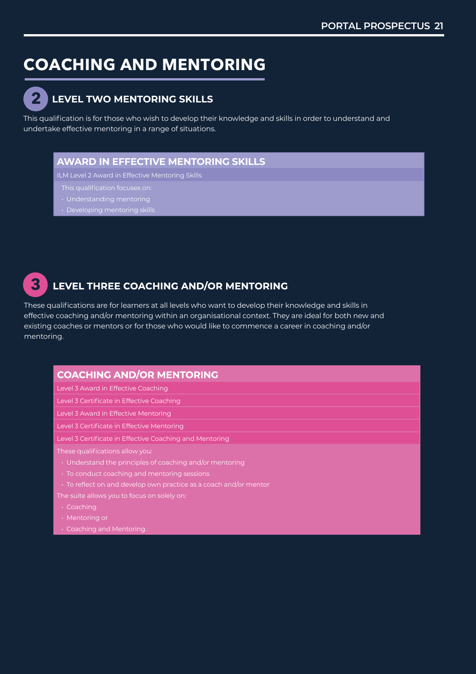# **COACHING AND MENTORING COACHING AND MENTORING**



## **LEVEL TWO MENTORING SKILLS LEVEL TWO MENTORING SKILLS 2**

This qualification is for those who wish to develop their knowledge and skills in order to understand and This qualification is for those who wish to develop their knowledge and skills in order to understand and undertake effective mentoring in a range of situations. undertake effective mentoring in a range of situations.

#### **AWARD IN EFFECTIVE MENTORING SKILLS AWARD IN EFFECTIVE MENTORING SKILLS**

ILM Level 2 Award in Effective Mentoring Skills ILM Level 2 Award in Effective Mentoring Skills

- This qualification focuses on: This qualification focuses on:
- 
- 



### **LEVEL THREE COACHING AND/OR MENTORING**

These qualifications are for learners at all levels who want to develop their knowledge and skills in These qualifications are for learners at all levels who want to develop their knowledge and skills in effective coaching and/or mentoring within an organisational context. They are ideal for both new and effective coaching and/or mentoring within an organisational context. They are ideal for both new and existing coaches or mentors or for those who would like to commence a career in coaching and/or existing coaches or mentors or for those who would like to commence a career in coaching and/or mentoring.

#### **COACHING AND/OR MENTORING**

Level 3 Award in Effective Coaching Level 3 Award in Effective Coaching

Level 3 Certificate in Effective Coaching Level 3 Certificate in Effective Coaching

Level 3 Award in Effective Mentoring Level 3 Award in Effective Mentoring

Level 3 Certificate in Effective Mentoring Level 3 Certificate in Effective Mentoring

Level 3 Certificate in Effective Coaching and Mentoring Level 3 Certificate in Effective Coaching and Mentoring

These qualifications allow you: These qualifications allow you:

- Understand the principles of coaching and/or mentoring Understand the principles of coaching and/or mentoring
- To conduct coaching and mentoring sessions To conduct coaching and mentoring sessions
- To reflect on and develop own practice as a coach and/or mentor To reflect on and develop own practice as a coach and/or mentor

The suite allows you to focus on solely on: The suite allows you to focus on solely on:

- Coaching
- Mentoring or Mentoring or
- Coaching and Mentoring. Coaching and Mentoring.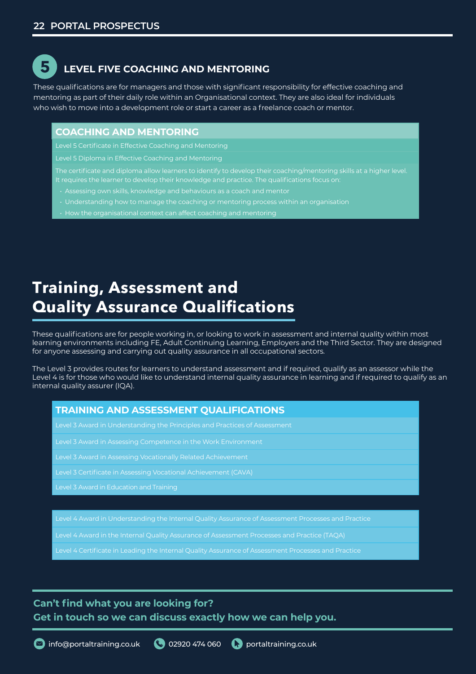# **5**

### **LEVEL FIVE COACHING AND MENTORING LEVEL FIVE COACHING AND MENTORING**

These qualifications are for managers and those with significant responsibility for effective coaching and These qualifications are for managers and those with significant responsibility for effective coaching and mentoring as part of their daily role within an Organisational context. They are also ideal for individuals mentoring as part of their daily role within an Organisational context. They are also ideal for individuals who wish to move into a development role or start a career as a freelance coach or mentor. who wish to move into a development role or start a career as a freelance coach or mentor.

#### **COACHING AND MENTORING COACHING AND MENTORING**

Level 5 Certificate in Effective Coaching and Mentoring Level 5 Certificate in Effective Coaching and Mentoring

Level 5 Diploma in Effective Coaching and Mentoring Level 5 Diploma in Effective Coaching and Mentoring

The certificate and diploma allow learners to identify to develop their coaching/mentoring skills at a higher level.  $\;$ It requires the learner to develop their knowledge and practice. The qualifications focus on: It requires the learner to develop their knowledge and practice. The qualifications focus on:

- Assessing own skills, knowledge and behaviours as a coach and mentor Assessing own skills, knowledge and behaviours as a coach and mentor
- Understanding how to manage the coaching or mentoring process within an organisation Understanding howto manage the coaching or mentoring process within an organisation
- $\bullet$  + How the organisational context can affect coaching and mentoring

# **Assessment and Quality Training, Assessment and Assurance Qualification Quality Assurance Qualifications**

These qualifications are for people working in, or looking to work in assessment and internal quality within most learning environments including FE, Adult Continuing Learning, Employers and the Third Sector. They are designed for anyone assessing and carrying out quality assurance in all occupational sectors. for anyone assessing and carrying out quality assurance in all occupational sectors.

The Level 3 provides routes for learners to understand assessment and if required, qualify as an assessor while the Level 4 is for those who would like to understand internal quality assurance in learning and if required to qualify as an internal quality assurer (IQA). internal quality assurer (IQA).

#### **TRAINING AND ASSESSMENT QUALIFICATIONS TRAINING AND ASSESSMENT QUALIFICATIONS**

Level 3 Award in Understanding the Principles and Practices of Assessment Level 3 Award in Understanding the Principles and Practices of Assessment

Level 4 Award in Understanding the Internal Quality Assurance of Assessment Processes and Practice

Level 4 Certificate in Leading the Internal Quality Assurance of Assessment Processes and Practice

Level 3 Award in Assessing Competence in the Work Environment Level 3 Award in Assessing Competence in the Work Environment

Level 3 Award in Assessing Vocationally Related Achievement Level 3 Award in Assessing Vocationally Related Achievement

Level 3 Certificate in Assessing Vocational Achievement (CAVA) Level 3 Certificate in Assessing Vocational Achievement (CAVA)

Level 3 Award in Education and Training

Level 4 Award in the Internal Quality Assurance of Assessment Processes and Practice (TAQA)

Level 4 Certificate in Leading the Internal Quality Assurance of Assessment Processes and Practice

#### **Can't find what you are looking for? Can't find what you are looking for?**

**Get in touch so we can discuss exactly how we can help you. Get in touch so we can discuss exactly how we can help you.**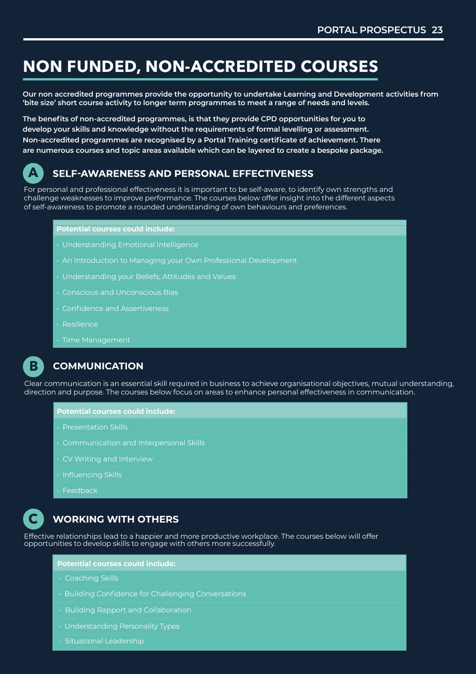## **NON FUNDED, NON-ACCREDITED COURSES**

**Our non accredited programmes provide the opportunity to undertake Learning and Development activities from 'bite size' short course activity to longer term programmes to meet a range of needs and levels.** 

**The benefits of non-accredited programmes, is that they provide CPD opportunities for you to develop your skills and knowledge without the requirements of formal levelling or assessment. Non-accredited programmes are recognised by a Portal Training certificate of achievement. There are numerous courses and topic areas available which can be layered to create a bespoke package.**



### **SELF-AWARENESS AND PERSONAL EFFECTIVENESS**

For personal and professional effectiveness it is important to be self-aware, to identify own strengths and challenge weaknesses to improve performance. The courses below offer insight into the different aspects of self-awareness to promote a rounded understanding of own behaviours and preferences.

#### **Potential courses could include:**

- Understanding Emotional Intelligence
- An Introduction to Managing your Own Professional Development
- Understanding your Beliefs, Attitudes and Values
- Conscious and Unconscious Bias
- Confidence and Assertiveness
- Resilience
- Time Management



#### **COMMUNICATION**

Clear communication is an essential skill required in business to achieve organisational objectives, mutual understanding, direction and purpose. The courses below focus on areas to enhance personal effectiveness in communication.

#### **Potential courses could include:**

- Presentation Skills
- Communication and Interpersonal Skills
- CV Writing and Interview
- Influencing Skills
- Feedback



#### **WORKING WITH OTHERS**

Effective relationships lead to a happier and more productive workplace. The courses below will offer opportunities to develop skills to engage with others more successfully.

#### **Potential courses could include:**

- Coaching Skills
- Building Confidence for Challenging Conversations
- Building Rapport and Collaboration
- Understanding Personality Types
- Situational Leadership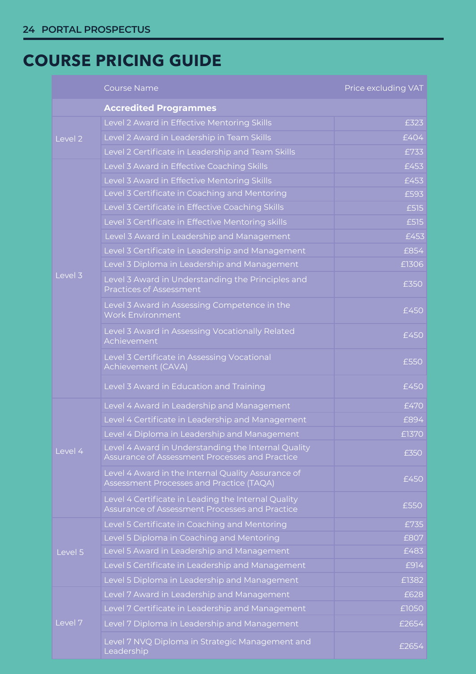# **COURSE PRICING GUIDE COURSE PRICING GUIDE**

|                    | <b>Course Name</b>                                                                                    | Price excluding VAT |
|--------------------|-------------------------------------------------------------------------------------------------------|---------------------|
|                    | <b>Accredited Programmes</b>                                                                          |                     |
|                    | Level 2 Award in Effective Mentoring Skills                                                           | £323                |
| Level <sub>2</sub> | Level 2 Award in Leadership in Team Skills                                                            | £404                |
|                    | Level 2 Certificate in Leadership and Team Skills                                                     | £733                |
|                    | Level 3 Award in Effective Coaching Skills                                                            | £453                |
|                    | Level 3 Award in Effective Mentoring Skills                                                           | £453                |
|                    | Level 3 Certificate in Coaching and Mentoring                                                         | £593                |
|                    | Level 3 Certificate in Effective Coaching Skills                                                      | £515                |
|                    | Level 3 Certificate in Effective Mentoring skills                                                     | £515                |
|                    | Level 3 Award in Leadership and Management                                                            | £453                |
|                    | Level 3 Certificate in Leadership and Management                                                      | £854                |
|                    | Level 3 Diploma in Leadership and Management                                                          | £1306               |
| Level 3            | Level 3 Award in Understanding the Principles and<br>Practices of Assessment                          | £350                |
|                    | Level 3 Award in Assessing Competence in the<br><b>Work Environment</b>                               | £450                |
|                    | Level 3 Award in Assessing Vocationally Related<br>Achievement                                        | £450                |
|                    | Level 3 Certificate in Assessing Vocational<br>Achievement (CAVA)                                     | £550                |
|                    | Level 3 Award in Education and Training                                                               | £450                |
|                    | Level 4 Award in Leadership and Management                                                            | £470                |
|                    | Level 4 Certificate in Leadership and Management                                                      | £894                |
|                    | Level 4 Diploma in Leadership and Management                                                          | £1370               |
| Level 4            | Level 4 Award in Understanding the Internal Quality<br>Assurance of Assessment Processes and Practice | £350                |
|                    | Level 4 Award in the Internal Quality Assurance of<br>Assessment Processes and Practice (TAQA)        | £450                |
|                    | Level 4 Certificate in Leading the Internal Quality<br>Assurance of Assessment Processes and Practice | £550                |
|                    | Level 5 Certificate in Coaching and Mentoring                                                         | £735                |
|                    | Level 5 Diploma in Coaching and Mentoring                                                             | £807                |
| Level 5            | Level 5 Award in Leadership and Management                                                            | £483                |
|                    | Level 5 Certificate in Leadership and Management                                                      | £914                |
|                    | Level 5 Diploma in Leadership and Management                                                          | £1382               |
|                    | Level 7 Award in Leadership and Management                                                            | £628                |
|                    | Level 7 Certificate in Leadership and Management                                                      | £1050               |
| Level 7            | Level 7 Diploma in Leadership and Management                                                          | £2654               |
|                    | Level 7 NVQ Diploma in Strategic Management and<br>Leadership                                         | £2654               |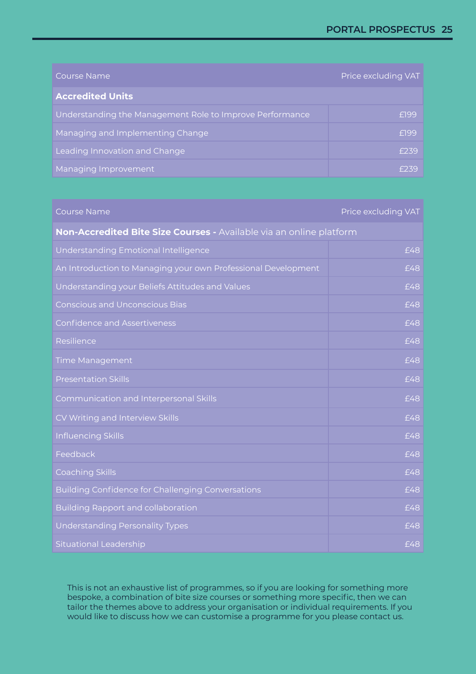| Course Name                                              | Price excluding VAT |
|----------------------------------------------------------|---------------------|
| <b>Accredited Units</b>                                  |                     |
| Understanding the Management Role to Improve Performance | £199                |
| Managing and Implementing Change                         | £199                |
| Leading Innovation and Change                            | F239                |
| Managing Improvement                                     | F239                |

#### Course Name Price excluding VAT

| Non-Accredited Bite Size Courses - Available via an online platform |     |
|---------------------------------------------------------------------|-----|
| Understanding Emotional Intelligence                                | £48 |
| An Introduction to Managing your own Professional Development       | £48 |
| Understanding your Beliefs Attitudes and Values                     | £48 |
| <b>Conscious and Unconscious Bias</b>                               | £48 |
| <b>Confidence and Assertiveness</b>                                 | £48 |
| Resilience                                                          | £48 |
| <b>Time Management</b>                                              | £48 |
| <b>Presentation Skills</b>                                          | £48 |
| Communication and Interpersonal Skills                              | £48 |
| CV Writing and Interview Skills                                     | £48 |
| Influencing Skills                                                  | £48 |
| Feedback                                                            | £48 |
| <b>Coaching Skills</b>                                              | £48 |
| Building Confidence for Challenging Conversations                   | £48 |
| <b>Building Rapport and collaboration</b>                           | £48 |
| <b>Understanding Personality Types</b>                              | £48 |
| <b>Situational Leadership</b>                                       | £48 |

This is not an exhaustive list of programmes, so if you are looking for something more bespoke, a combination of bite size courses or something more specific, then we can tailor the themes above to address your organisation or individual requirements. If you would like to discuss how we can customise a programme for you please contact us.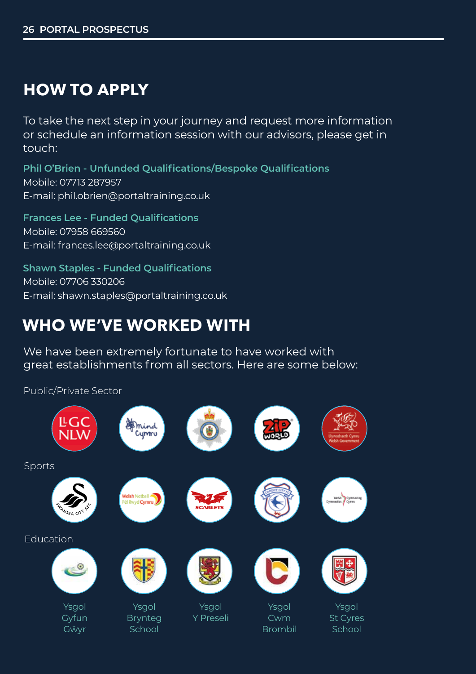# **HOW TO APPLY**

To take the next step in your journey and request more information or schedule an information session with our advisors, please get in touch:

**Phil O'Brien - Unfunded Qualifications/Bespoke Qualifications** Mobile: 07713 287957 E-mail: phil.obrien@portaltraining.co.uk

**Frances Lee - Funded Qualifications** Mobile: 07958 669560 E-mail: frances.lee@portaltraining.co.uk

**Shawn Staples - Funded Qualifications** Mobile: 07706 330206 E-mail: shawn.staples@portaltraining.co.uk

# **WHO WE'VE WORKED WITH**

We have been extremely fortunate to have worked with great establishments from all sectors. Here are some below:

Public/Private Sector

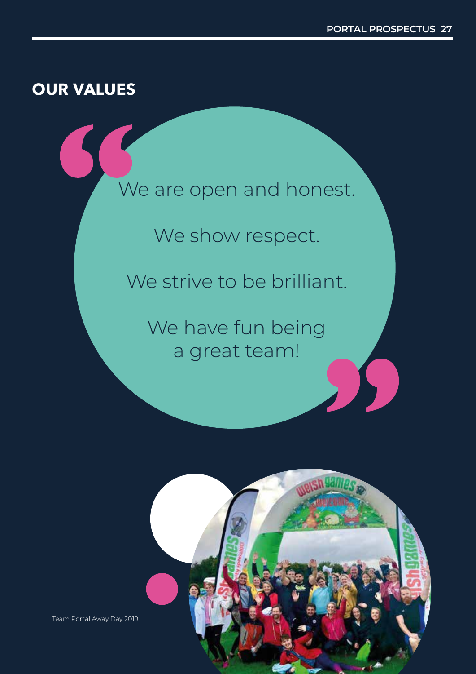## **OUR VALUES**





Team Portal Away Day 2019